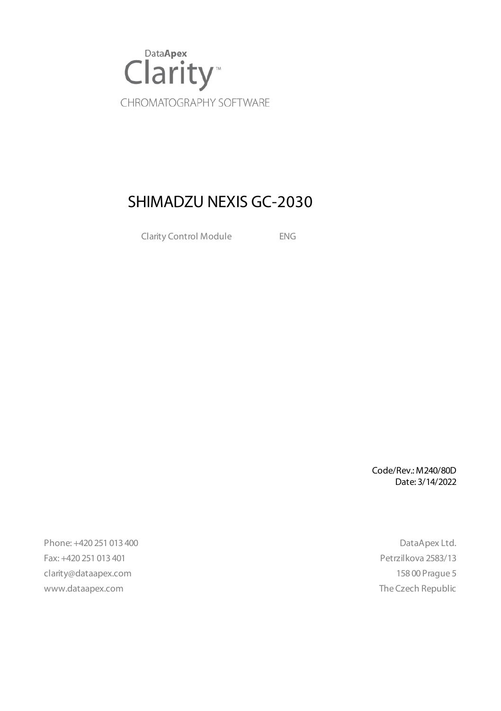

# SHIMADZU NEXIS GC-2030

Clarity Control Module ENG

Code/Rev.: M240/80D Date: 3/14/2022

Phone: +420 251 013 400 DataApex Ltd. Fax: +420 251 013 401 Petrzilkova 2583/13 clarity@dataapex.com 158 00 Prague 5 www.dataapex.com **The Czech Republic** Republic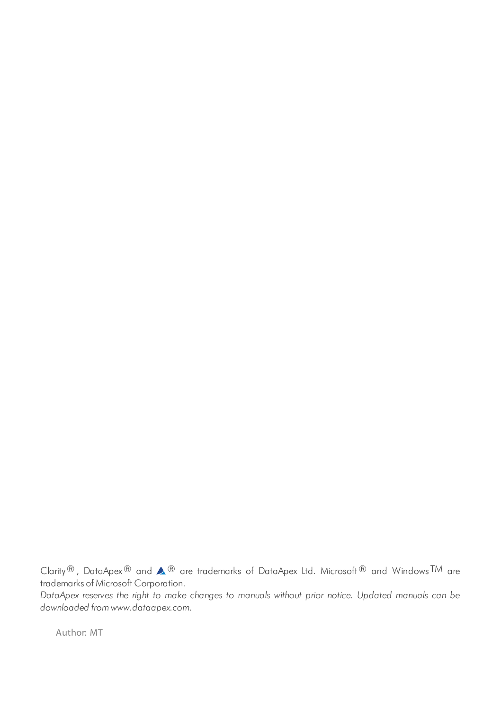Clarity®, DataApex® and  $\triangle$ <sup>®</sup> are trademarks of DataApex Ltd. Microsoft® and Windows TM are trademarks of Microsoft Corporation.

*DataApex reserves the right to make changes to manuals without prior notice. Updated manuals can be downloaded from www.dataapex.com.*

Author: MT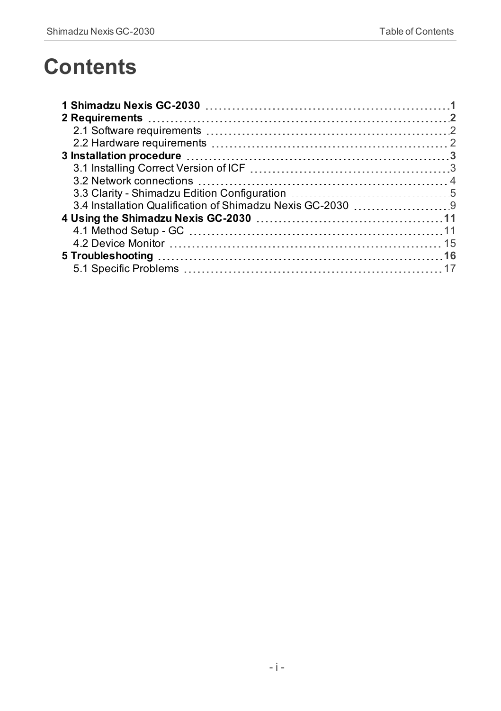# **Contents**

| 1. Shimadzu Nexis GC-2030 |  |
|---------------------------|--|
|                           |  |
|                           |  |
|                           |  |
|                           |  |
|                           |  |
|                           |  |
|                           |  |
|                           |  |
|                           |  |
|                           |  |
|                           |  |
|                           |  |
|                           |  |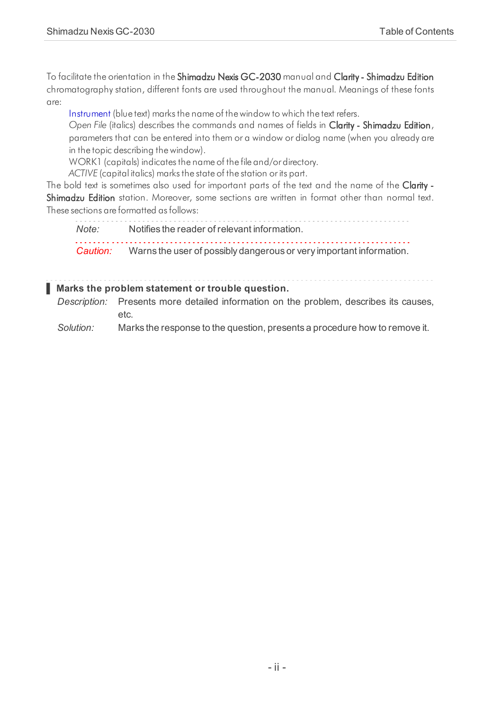To facilitate the orientation in the Shimadzu Nexis GC-2030 manual and Clarity - Shimadzu Edition chromatography station, different fonts are used throughout the manual. Meanings of these fonts are:

[Instrument](ms-its:ClarityShimadzu.chm::/Help/020-instrument/020.000-instrument/020-instrument.htm) (blue text) marks the name of the window to which the text refers.

*Open File* (italics) describes the commands and names of fields in Clarity - Shimadzu Edition, parameters that can be entered into them or a window or dialog name (when you already are in the topic describing thewindow).

WORK1 (capitals) indicates the name of the file and/or directory.

*ACTIVE* (capital italics) marks the state of the station or its part.

The bold text is sometimes also used for important parts of the text and the name of the Clarity -Shimadzu Edition station. Moreover, some sections are written in format other than normal text. These sections are formatted asfollows:

*Note:* Notifies the reader of relevant information.

*Caution:* Warns the user of possibly dangerous or very important information.

**▌ Marks the problem statement or trouble question.**

*Description:* Presents more detailed information on the problem, describes its causes, etc.

*Solution:* Marks the response to the question, presents a procedure how to remove it.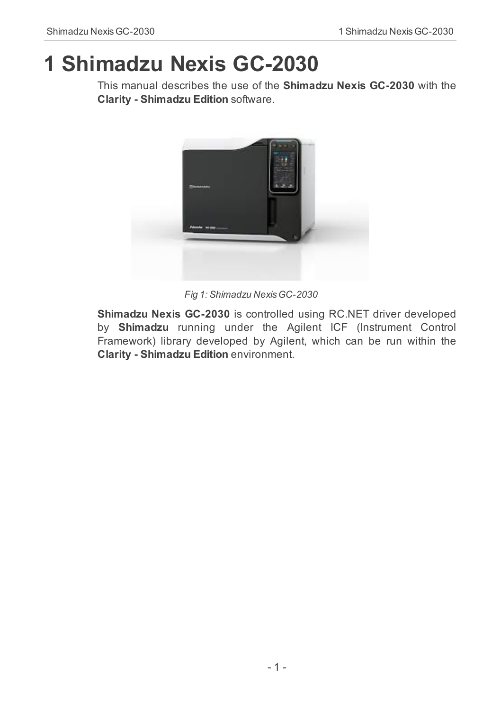# <span id="page-4-0"></span>**1 Shimadzu Nexis GC-2030**

This manual describes the use of the **Shimadzu Nexis GC-2030** with the **Clarity - Shimadzu Edition** software.



*Fig 1: Shimadzu Nexis GC-2030*

**Shimadzu Nexis GC-2030** is controlled using RC.NET driver developed by **Shimadzu** running under the Agilent ICF (Instrument Control Framework) library developed by Agilent, which can be run within the **Clarity - Shimadzu Edition** environment.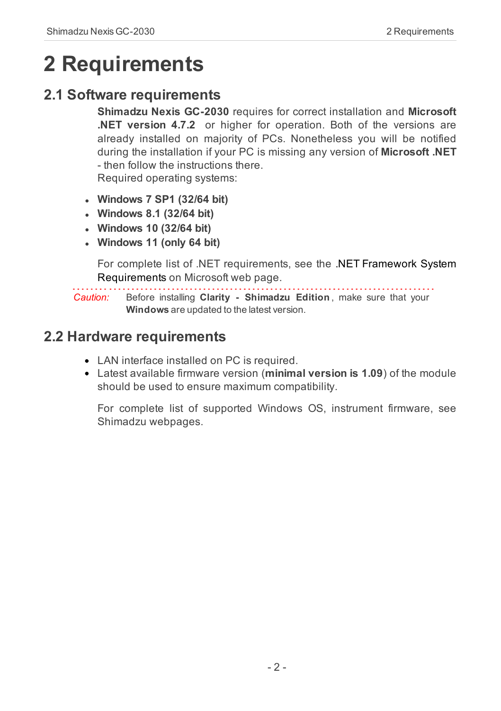# <span id="page-5-1"></span><span id="page-5-0"></span>**2 Requirements**

## **2.1 Software requirements**

**Shimadzu Nexis GC-2030** requires for correct installation and **Microsoft .NET version 4.7.2** or higher for operation. Both of the versions are already installed on majority of PCs. Nonetheless you will be notified during the installation if your PC is missing any version of **Microsoft .NET** - then follow the instructions there. Required operating systems:

- <sup>l</sup> **Windows 7 SP1 (32/64 bit)**
- <sup>l</sup> **Windows 8.1 (32/64 bit)**
- <sup>l</sup> **Windows 10 (32/64 bit)**
- <sup>l</sup> **Windows 11 (only 64 bit)**

For complete list of .NET requirements, see the [.NET Framework](http://msdn.microsoft.com/en-us/library/8z6watww.aspx) System [Requirements](http://msdn.microsoft.com/en-us/library/8z6watww.aspx) on Microsoft web page.

*Caution:* Before installing **Clarity - Shimadzu Edition** , make sure that your **Windows** are updated to the latest version.

### <span id="page-5-2"></span>**2.2 Hardware requirements**

- LAN interface installed on PC is required.
- Latest available firmware version (**minimal version is 1.09**) of the module should be used to ensure maximum compatibility.

For complete list of supported Windows OS, instrument firmware, see Shimadzu webpages.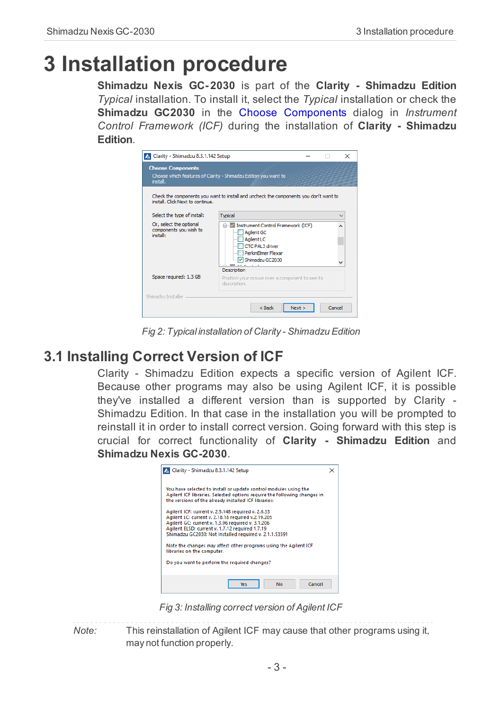# <span id="page-6-0"></span>**3 Installation procedure**

**Shimadzu Nexis GC- 2030** is part of the **Clarity - Shimadzu Edition** *Typical* installation. To install it, select the *Typical* installation or check the **Shimadzu GC2030** in the Choose Components dialog in *Instrument Control Framework (ICF)* during the installation of **Clarity - Shimadzu Edition**.

| Clarity - Shimadzu 8.3.1.142 Setup                            |                                                                                                                                                       |        | $\times$ |
|---------------------------------------------------------------|-------------------------------------------------------------------------------------------------------------------------------------------------------|--------|----------|
| <b>Choose Components</b><br>install.                          | Choose which features of Clarity - Shimadzu Edition you want to                                                                                       |        |          |
| install. Click Next to continue.                              | Check the components you want to install and uncheck the components you don't want to                                                                 |        |          |
| Select the type of install:                                   | Typical                                                                                                                                               |        |          |
| Or, select the optional<br>components you wish to<br>install: | E- V Instrument Control Framework (ICF)<br><b>Agilent GC</b><br>Agilent LC<br>CTC PAL3 driver<br>PerkinElmer Flexar<br>Shimadzu GC2030<br>Description |        |          |
| Space required: 1.3 GB                                        | Position your mouse over a component to see its<br>description.                                                                                       |        |          |
| Shimadzu Installer                                            |                                                                                                                                                       |        |          |
|                                                               | < Back<br>Next                                                                                                                                        | Cancel |          |

*Fig 2: Typical installation of Clarity - Shimadzu Edition*

## <span id="page-6-1"></span>**3.1 Installing Correct Version of ICF**

Clarity - Shimadzu Edition expects a specific version of Agilent ICF. Because other programs may also be using Agilent ICF, it is possible they've installed a different version than is supported by Clarity - Shimadzu Edition. In that case in the installation you will be prompted to reinstall it in order to install correct version. Going forward with this step is crucial for correct functionality of **Clarity - Shimadzu Edition** and **Shimadzu Nexis GC-2030**.



*Fig 3: Installing correct version of Agilent ICF*

*Note:* This reinstallation of Agilent ICF may cause that other programs using it, may not function properly.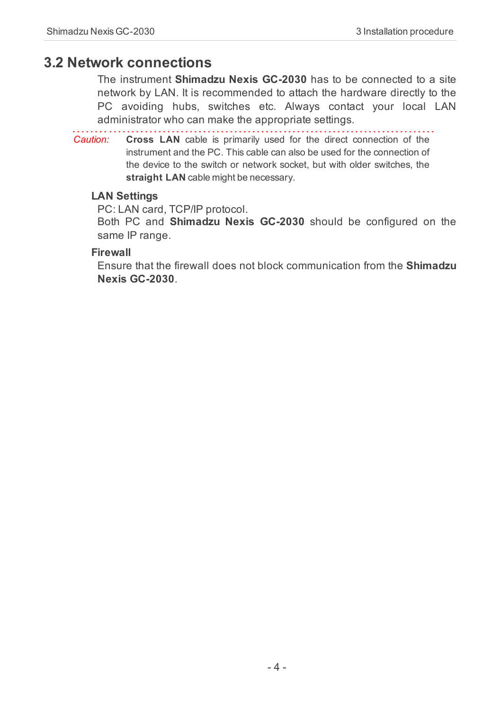#### <span id="page-7-0"></span>**3.2 Network connections**

The instrument **Shimadzu Nexis GC-2030** has to be connected to a site network by LAN. It is recommended to attach the hardware directly to the PC avoiding hubs, switches etc. Always contact your local LAN administrator who can make the appropriate settings.

*Caution:* **Cross LAN** cable is primarily used for the direct connection of the instrument and the PC. This cable can also be used for the connection of the device to the switch or network socket, but with older switches, the **straight LAN** cable might be necessary.

#### **LAN Settings**

PC: LAN card, TCP/IP protocol.

Both PC and **Shimadzu Nexis GC-2030** should be configured on the same IP range.

#### **Firewall**

Ensure that the firewall does not block communication from the **Shimadzu Nexis GC-2030**.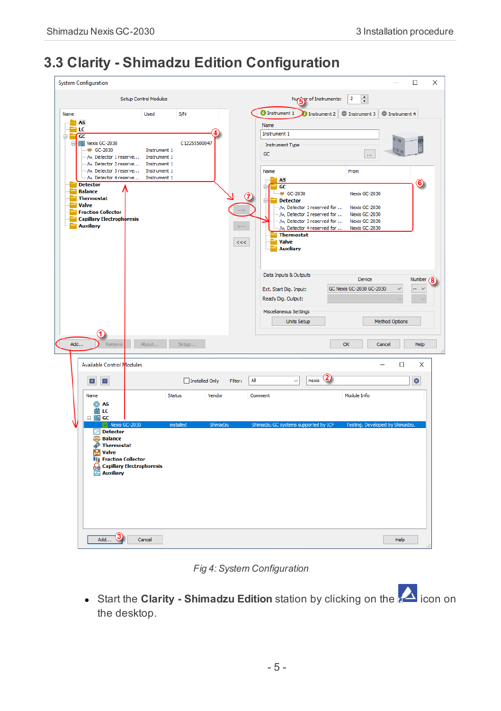# <span id="page-8-0"></span>**3.3 Clarity - Shimadzu Edition Configuration**

| $\div$<br>Setup Control Modules<br>Nur er of Instruments:<br>$\overline{2}$<br><b>O</b> Instrument 1<br>$\bullet$ Instrument 2 $\circ$ Instrument 3 $\circ$ Instrument 4<br>Name<br>Used<br><b>S/N</b><br>$-$ AS<br>Name<br>ПC<br>Instrument 1<br>GC<br>ė-<br>÷<br>lin<br>E Nexis GC-2030<br>C12255500047<br><b>Instrument Type</b><br>-W GC-2030<br>Instrument 1<br>m<br>GC<br><b>A</b><br>M. Detector 1 reserve<br>Instrument 1<br>M. Detector 2 reserve<br>Instrument 1<br>M. Detector 3 reserve Instrument 1<br>Name<br>From<br>M. Detector 4 reserve<br>Instrument 1<br><b>AS</b><br>6)<br><b>Detector</b><br>$\overline{GC}$<br>Ė<br><b>Balance</b><br>- MA GC-2030<br>Nexis GC-2030<br>(7<br><b>Thermostat</b><br>Detector<br>Ė<br>Valve<br>M. Detector 1 reserved for<br>Nexis GC-2030<br><b>Fraction Collector</b><br>M. Detector 2 reserved for<br>Nexis GC-2030<br><b>Capillary Electrophoresis</b><br>M Detector 3 reserved for<br>Nexis GC-2030<br><b>Auxiliary</b><br>$\leftarrow$<br>M. Detector 4 reserved for  Nexis GC-2030<br><b>Thermostat</b><br>Valve<br><<<br><b>Auxiliary</b><br>Data Inputs & Outputs<br><b>Device</b><br>Number<br>GC Nexis GC-2030 GC-2030<br>Ext. Start Dig. Input:<br>$\ddot{ }$<br>$\sim$<br>Ready Dig. Output:<br>Miscellaneous Settings<br><b>Units Setup</b><br><b>Method Options</b><br>Add<br>About<br>Setup<br>Remove<br>OK<br>Cancel<br>Help<br>$\Box$<br><b>Available Control Modules</b><br>$\times$<br>Installed Only<br>All<br>nexis<br>$\bullet$<br>E.<br>E<br>Filter:<br>$\checkmark$<br>Module Info<br>Name<br><b>Status</b><br>Vendor<br>Comment<br><b>O</b> AS<br>Ëκ<br>$\Box$ <b>E</b> GC<br>Nexis GC-2030<br>Shimadzu GC systems supported by ICF<br>installed<br>Shimadzu<br>Testing. Developed by Shimadzu.<br>$\Box$ Detector<br><b>SO</b> Balance<br><b>Thermostat</b><br>D<br>м<br>Valve<br><b>Til</b> Fraction Collector<br><b>Q</b> Capillary Electrophoresis<br><b>15 Auxiliary</b> | <b>System Configuration</b> |  | $\Box$ | × |
|-------------------------------------------------------------------------------------------------------------------------------------------------------------------------------------------------------------------------------------------------------------------------------------------------------------------------------------------------------------------------------------------------------------------------------------------------------------------------------------------------------------------------------------------------------------------------------------------------------------------------------------------------------------------------------------------------------------------------------------------------------------------------------------------------------------------------------------------------------------------------------------------------------------------------------------------------------------------------------------------------------------------------------------------------------------------------------------------------------------------------------------------------------------------------------------------------------------------------------------------------------------------------------------------------------------------------------------------------------------------------------------------------------------------------------------------------------------------------------------------------------------------------------------------------------------------------------------------------------------------------------------------------------------------------------------------------------------------------------------------------------------------------------------------------------------------------------------------------------------------------------------------------------------------------------------------------------------|-----------------------------|--|--------|---|
|                                                                                                                                                                                                                                                                                                                                                                                                                                                                                                                                                                                                                                                                                                                                                                                                                                                                                                                                                                                                                                                                                                                                                                                                                                                                                                                                                                                                                                                                                                                                                                                                                                                                                                                                                                                                                                                                                                                                                             |                             |  |        |   |
|                                                                                                                                                                                                                                                                                                                                                                                                                                                                                                                                                                                                                                                                                                                                                                                                                                                                                                                                                                                                                                                                                                                                                                                                                                                                                                                                                                                                                                                                                                                                                                                                                                                                                                                                                                                                                                                                                                                                                             |                             |  |        |   |
|                                                                                                                                                                                                                                                                                                                                                                                                                                                                                                                                                                                                                                                                                                                                                                                                                                                                                                                                                                                                                                                                                                                                                                                                                                                                                                                                                                                                                                                                                                                                                                                                                                                                                                                                                                                                                                                                                                                                                             |                             |  |        |   |
|                                                                                                                                                                                                                                                                                                                                                                                                                                                                                                                                                                                                                                                                                                                                                                                                                                                                                                                                                                                                                                                                                                                                                                                                                                                                                                                                                                                                                                                                                                                                                                                                                                                                                                                                                                                                                                                                                                                                                             |                             |  |        |   |
| Add<br>Cancel<br>Help                                                                                                                                                                                                                                                                                                                                                                                                                                                                                                                                                                                                                                                                                                                                                                                                                                                                                                                                                                                                                                                                                                                                                                                                                                                                                                                                                                                                                                                                                                                                                                                                                                                                                                                                                                                                                                                                                                                                       |                             |  |        |   |

*Fig 4: System Configuration*

• Start the **Clarity** - **Shimadzu Edition** station by clicking on the **interpol** icon on the desktop.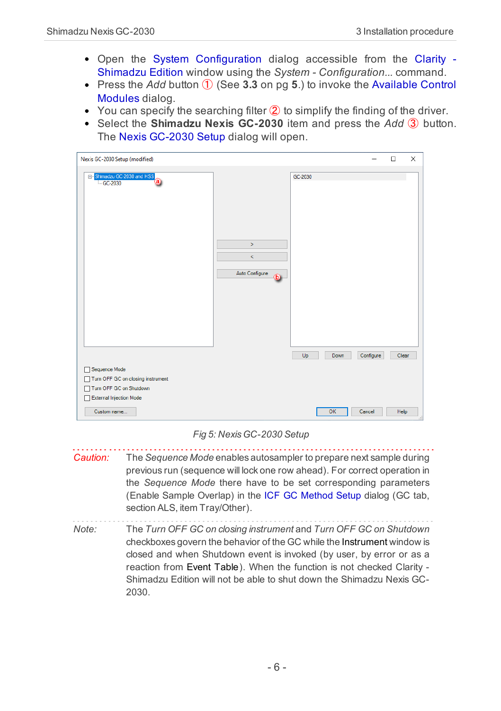- Open the System [Configuration](ms-its:ClarityShimadzu.chm::/Help/010-clarity/010.010-system/010.010-configuration.htm) dialog accessible from the [Clarity](ms-its:ClarityShimadzu.chm::/Help/010-clarity/010.000-clarity/010-clarity.htm) [Shimadzu](ms-its:ClarityShimadzu.chm::/Help/010-clarity/010.000-clarity/010-clarity.htm) Edition window using the *System - Configuration...* command.
- Press the *Add* button ① (See **[3.3](#page-8-0)** on pg **5**.) to invoke the [Available](ms-its:ClarityShimadzu.chm::/Help/010-clarity/010.010-system/010.010-system-configuration-left.htm) Control [Modules](ms-its:ClarityShimadzu.chm::/Help/010-clarity/010.010-system/010.010-system-configuration-left.htm) dialog.
- You can specify the searching filter  $\hat{Q}$  to simplify the finding of the driver.
- Select the **Shimadzu Nexis GC-2030** item and press the *Add* ③ button. The Nexis GC-2030 Setup dialog will open.

| Nexis GC-2030 Setup (modified)                                                                              |           | □     | $\times$ |
|-------------------------------------------------------------------------------------------------------------|-----------|-------|----------|
| Shimadzu GC-2030 and HSS<br>GC-2030<br>$-GC-2030$<br>$\geq$<br>$\prec$<br>Auto Configure<br>ட<br>Up<br>Down | Configure | Clear |          |
| Sequence Mode<br>Turn OFF GC on closing instrument<br>Turn OFF GC on Shutdown<br>External Injection Mode    |           |       |          |
| OK<br>Cancel<br>Custom name                                                                                 |           | Help  |          |

#### *Fig 5: Nexis GC-2030 Setup*

<span id="page-9-0"></span>*Caution:* The *Sequence Mode* enables autosampler to prepare next sample during previous run (sequence will lock one row ahead). For correct operation in the *Sequence Mode* there have to be set corresponding parameters (Enable Sample Overlap) in the ICF GC [Method](ms-its:ClarityShimadzu.chm::/Help/040-using-the-icf-gc/040.020-method-icf-gc/040.020-gc.htm) Setup dialog (GC tab, section ALS, item Tray/Other).

*Note:* The *Turn OFF GC on closing instrument* and *Turn OFF GC on Shutdown* checkboxes govern the behavior of the GC while the [Instrument](:ClarityShimadzu.chm::/Help/020-instrument/020.000-instrument/020-instrument.htm) window is closed and when Shutdown event is invoked (by user, by error or as a reaction from Event [Table](:ClarityShimadzu.chm::/Help/020-instrument/020.020-method/020.020-event-table.htm)). When the function is not checked Clarity - Shimadzu Edition will not be able to shut down the Shimadzu Nexis GC-2030.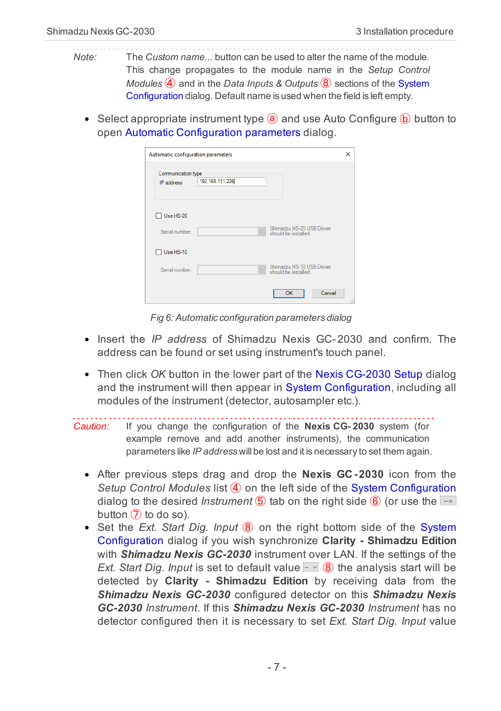- *Note:* The *Custom name...* button can be used to alter the name of the module. This change propagates to the module name in the *Setup Control Modules* ④ and in the *Data Inputs & Outputs* ⑧ sections of the [System](ms-its:ClarityShimadzu.chm::/Help/010-clarity/010.010-system/010.010-configuration.htm) [Configuration](ms-its:ClarityShimadzu.chm::/Help/010-clarity/010.010-system/010.010-configuration.htm) dialog. Default name is used when the field is left empty.
	- Select appropriate instrument type  $\overline{a}$  and use Auto Configure  $\overline{b}$  button to open Automatic Configuration parameters dialog.

| Automatic configuration parameters |                                                                 | × |
|------------------------------------|-----------------------------------------------------------------|---|
| Communication type<br>IP address   | 192.168.111.236                                                 |   |
| Use HS-20<br>Serial number:        | Shimadzu HS-20 USB Driver<br>$\backsim$<br>should be installed. |   |
| $\Box$ Use HS-10                   |                                                                 |   |
| Serial number:                     | Shimadzu HS-10 USB Driver<br>$\vee$<br>should be installed.     |   |
|                                    | Cancel<br>OK                                                    |   |

*Fig 6: Automatic configuration parameters dialog*

- Insert the *IP address* of Shimadzu Nexis GC- 2030 and confirm. The address can be found or set using instrument's touch panel.
- Then click *OK* button in the lower part of the Nexis CG-2030 Setup dialog and the instrument will then appear in System [Configuration,](ms-its:ClarityShimadzu.chm::/Help/010-clarity/010.010-system/010.010-configuration.htm) including all modules of the instrument (detector, autosampler etc.).

```
Caution: If you change the configuration of the Nexis CG- 2030 system (for
example remove and add another instruments), the communication
parameters like IP address will be lost and it is necessary to set them again.
```
- After previous steps drag and drop the **Nexis GC-2030** icon from the *Setup Control Modules* list ④ on the left side of the System [Configuration](ms-its:ClarityShimadzu.chm::/Help/010-clarity/010.010-system/010.010-configuration.htm) dialog to the desired *Instrument*  $\overline{6}$  tab on the right side  $\overline{6}$  (or use the  $\rightarrow$ button  $(7)$  to do so).
- Set the *Ext. Start Dig. Input* <sup>*®*</sup> on the right bottom side of the [System](ms-its:ClarityShimadzu.chm::/Help/010-clarity/010.010-system/010.010-configuration.htm) [Configuration](ms-its:ClarityShimadzu.chm::/Help/010-clarity/010.010-system/010.010-configuration.htm) dialog if you wish synchronize **Clarity - Shimadzu Edition** with *Shimadzu Nexis GC-2030* instrument over LAN. If the settings of the *Ext. Start Dig. Input* is set to default value  $\sim$  8 the analysis start will be detected by **Clarity - Shimadzu Edition** by receiving data from the *Shimadzu Nexis GC-2030* configured detector on this *Shimadzu Nexis GC-2030 Instrument*. If this *Shimadzu Nexis GC-2030 Instrument* has no detector configured then it is necessary to set *Ext. Start Dig. Input* value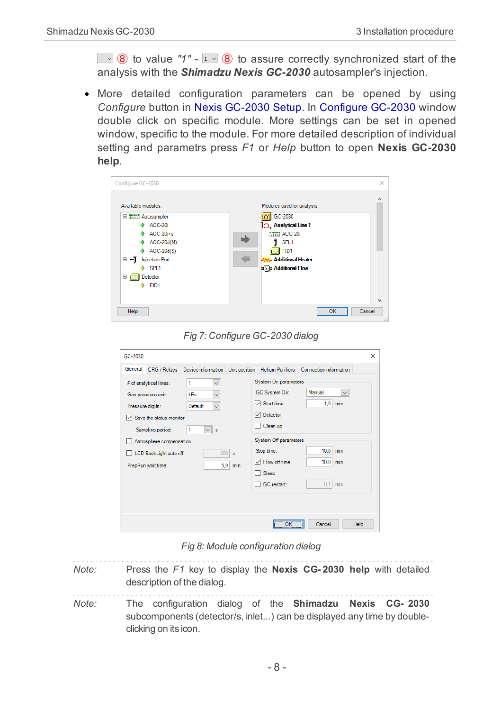$\sim$  8 to value "1" -  $\sim$  8 to assure correctly synchronized start of the analysis with the *Shimadzu Nexis GC-2030* autosampler's injection.

More detailed configuration parameters can be opened by using *Configure* button in Nexis GC-2030 Setup. In Configure GC-2030 window double click on specific module. More settings can be set in opened window, specific to the module. For more detailed description of individual setting and parametrs press *F1* or *Help* button to open **Nexis GC-2030 help**.

| Available modules:                                                                                                                                                          | Modules used for analysis:                                                                                                                 |
|-----------------------------------------------------------------------------------------------------------------------------------------------------------------------------|--------------------------------------------------------------------------------------------------------------------------------------------|
| □ 間間 Autosampler<br>AOC-20i<br>$AOC-20i+s$<br>AOC-20d(M)<br>AOC-20d(S)<br>۰<br>⊟ −ĭ<br><b>Injection Port</b><br>$\triangleright$ SPL1<br>Detector<br>$\Box$ p.<br>FID1<br>۰ | GC-2030<br><b>IO</b> , Analytical Line 1<br><b>WWW AOC-20i</b><br>-1<br>SPL1<br>FID1<br><b>Additional Heater</b><br><b>Additional Flow</b> |

*Fig 7: Configure GC-2030 dialog*

| GC-2030                                                                                                                                                                                                                                                                                                      | $\times$                                                                                                                                                                                                                                                                         |
|--------------------------------------------------------------------------------------------------------------------------------------------------------------------------------------------------------------------------------------------------------------------------------------------------------------|----------------------------------------------------------------------------------------------------------------------------------------------------------------------------------------------------------------------------------------------------------------------------------|
| General<br>CRG / Relays Device information Unit position Helium Purifiers Connection information                                                                                                                                                                                                             |                                                                                                                                                                                                                                                                                  |
| # of analytical lines:<br>$\checkmark$<br>$\check{~}$<br>kPa<br>Gas pressure unit:<br>$\check{~}$<br>Default<br>Pressure digits:<br>$\vee$ Save the status monitor<br>Sampling period:<br>1<br>$\vee$ s<br>Atmosphere compensation<br>$300$ s<br>LCD BackLight auto off:<br>5,0<br>PrepRun wait time:<br>min | System On parameters<br>Manual<br>GC System On:<br>$\checkmark$<br>$\nabla$ Start time:<br>$1,0$ min<br><b>□</b> Detector<br>Clean up<br>System Off parameters<br>$10.0$ min<br>Stop time:<br>$\nabla$ Flow off time:<br>$10.0$ min<br>Sleep<br><b>GC</b> restart:<br>0.1<br>min |
|                                                                                                                                                                                                                                                                                                              | ---------<br>Cancel<br>OK<br>Help                                                                                                                                                                                                                                                |

*Fig 8: Module configuration dialog*

- <span id="page-11-0"></span>*Note:* Press the *F1* key to display the **Nexis CG- 2030 help** with detailed description of the dialog.
- *Note:* The configuration dialog of the **Shimadzu Nexis CG- 2030** subcomponents (detector/s, inlet...) can be displayed any time by doubleclicking on its icon.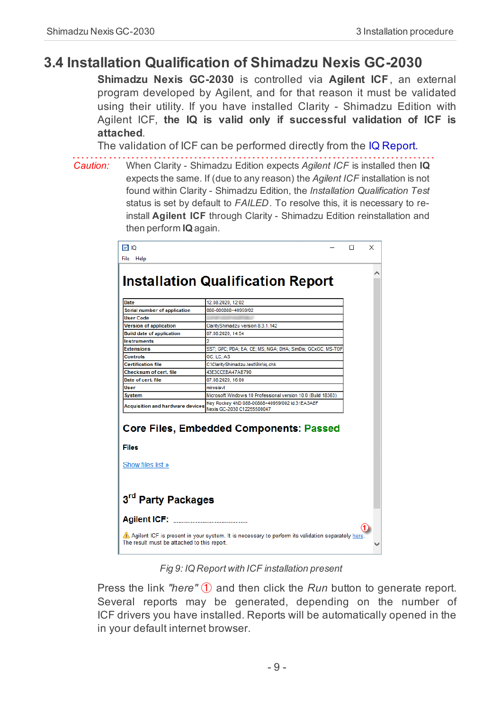## <span id="page-12-0"></span>**3.4 Installation Qualification of Shimadzu Nexis GC-2030**

**Shimadzu Nexis GC-2030** is controlled via **Agilent ICF**, an external program developed by Agilent, and for that reason it must be validated using their utility. If you have installed Clarity - Shimadzu Edition with Agilent ICF, **the IQ is valid only if successful validation of ICF is attached**.

The validation of ICF can be performed directly from the IQ Report.

*Caution:* When Clarity - Shimadzu Edition expects *Agilent ICF* is installed then **IQ** expects the same. If (due to any reason) the *Agilent ICF* installation is not found within Clarity - Shimadzu Edition, the *Installation Qualification Test* status is set by default to *FAILED*. To resolve this, it is necessary to reinstall **Agilent ICF** through Clarity - Shimadzu Edition reinstallation and then perform **IQ** again.

|                                                              | <b>Installation Qualification Report</b>                     |  |
|--------------------------------------------------------------|--------------------------------------------------------------|--|
| Date                                                         | 12.08.2020, 12:02                                            |  |
| <b>Serial number of application</b>                          | 088-000888+40959/02                                          |  |
| <b>User Code</b>                                             |                                                              |  |
| <b>Version of application</b>                                | ClarityShimadzu version 8.3.1.142                            |  |
| <b>Build date of application</b>                             | 07.08.2020, 14:54                                            |  |
| <b>Instruments</b>                                           |                                                              |  |
| <b>Extensions</b>                                            | SST; GPC; PDA; EA; CE; MS; NGA; DHA; SimDis; GCxGC; MS-TOF   |  |
| <b>Controls</b>                                              | GC: LC: AS                                                   |  |
| <b>Certification file</b>                                    | C:\ClarityShimadzu-test\Bin\ig.chk                           |  |
| Checksum of cert, file                                       | 43E3CCEBA47AB790                                             |  |
| Date of cert, file                                           | 07.08.2020, 16:00                                            |  |
| liser                                                        | miroslavt                                                    |  |
| <b>System</b>                                                | Microsoft Windows 10 Professional version 10.0 (Build 18363) |  |
|                                                              | Key Rockey 4ND 088-00888+40959/002 id:31EA3AEF               |  |
| <b>Acquisition and hardware devices</b>                      | Nexis GC-2030 C12255500047                                   |  |
|                                                              | <b>Core Files, Embedded Components: Passed</b>               |  |
| Files<br>Show files list »<br>3 <sup>rd</sup> Party Packages |                                                              |  |

*Fig 9: IQ Report with ICF installation present*

Press the link *"here"* ① and then click the *Run* button to generate report. Several reports may be generated, depending on the number of ICF drivers you have installed. Reports will be automatically opened in the in your default internet browser.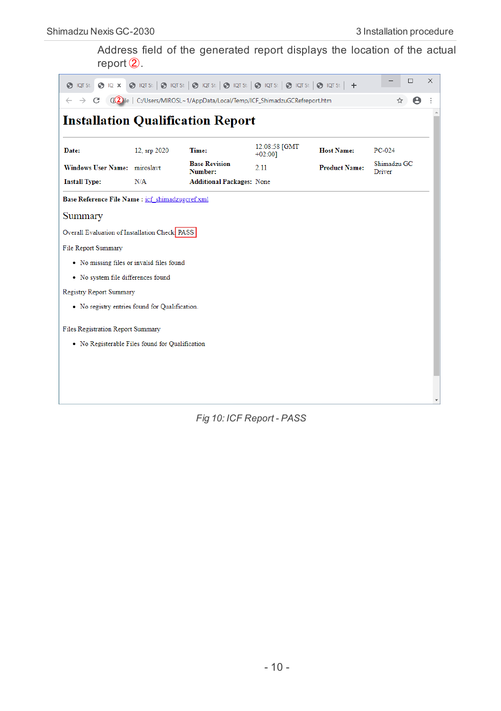Address field of the generated report displays the location of the actual report ②.

| $\bigcirc$ IQT St: $\bigcirc$ IQ $\times$        |              | $\bigcirc$ lots: $\bigcirc$ lots: $\bigcirc$ lots: $\bigcirc$ lots: $\bigcirc$ lots: $\bigcirc$ lots: $\bigcirc$ lots: $\bigcirc$ lots: $\biguparrow$ |                            |                      | п                     | $\times$ |
|--------------------------------------------------|--------------|-------------------------------------------------------------------------------------------------------------------------------------------------------|----------------------------|----------------------|-----------------------|----------|
| C                                                |              | G(2) ile   C:/Users/MIROSL~1/AppData/Local/Temp/ICF_ShimadzuGCRefreport.htm                                                                           |                            |                      | A<br>☆                |          |
| <b>Installation Qualification Report</b>         |              |                                                                                                                                                       |                            |                      |                       |          |
| Date:                                            | 12, srp 2020 | Time:                                                                                                                                                 | 12:08:58 [GMT<br>$+02:001$ | <b>Host Name:</b>    | $PC-024$              |          |
| Windows User Name: miroslavt                     |              | <b>Base Revision</b><br>Number:                                                                                                                       | 2.11                       | <b>Product Name:</b> | Shimadzu GC<br>Driver |          |
| <b>Install Type:</b>                             | N/A          | <b>Additional Packages: None</b>                                                                                                                      |                            |                      |                       |          |
| Base Reference File Name : icf shimadzugcref.xml |              |                                                                                                                                                       |                            |                      |                       |          |
| Summary                                          |              |                                                                                                                                                       |                            |                      |                       |          |
| Overall Evaluation of Installation Check PASS    |              |                                                                                                                                                       |                            |                      |                       |          |
| <b>File Report Summary</b>                       |              |                                                                                                                                                       |                            |                      |                       |          |
| • No missing files or invalid files found        |              |                                                                                                                                                       |                            |                      |                       |          |
| • No system file differences found               |              |                                                                                                                                                       |                            |                      |                       |          |
| <b>Registry Report Summary</b>                   |              |                                                                                                                                                       |                            |                      |                       |          |
| • No registry entries found for Qualification.   |              |                                                                                                                                                       |                            |                      |                       |          |
| Files Registration Report Summary                |              |                                                                                                                                                       |                            |                      |                       |          |
| • No Registerable Files found for Qualification  |              |                                                                                                                                                       |                            |                      |                       |          |
|                                                  |              |                                                                                                                                                       |                            |                      |                       |          |
|                                                  |              |                                                                                                                                                       |                            |                      |                       |          |
|                                                  |              |                                                                                                                                                       |                            |                      |                       |          |
|                                                  |              |                                                                                                                                                       |                            |                      |                       |          |

*Fig 10: ICF Report - PASS*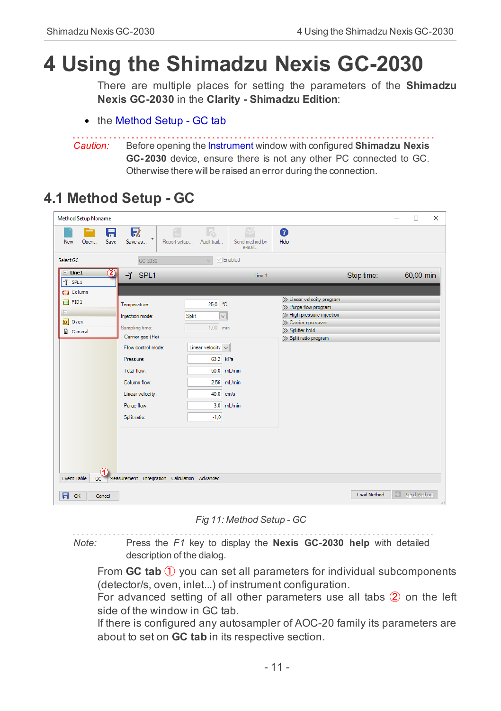# <span id="page-14-0"></span>**4 Using the Shimadzu Nexis GC-2030**

There are multiple places for setting the parameters of the **Shimadzu Nexis GC-2030** in the **Clarity - Shimadzu Edition**:

• the [Method](#page-14-1) Setup - GC tab

*Caution:* Before opening the [Instrument](ms-its:[%25=oem.Clarity.chm%25]::/Help/020-instrument/020.000-instrument/020-instrument.htm) window with configured **Shimadzu Nexis GC- 2030** device, ensure there is not any other PC connected to GC. Otherwise there will be raised an error during the connection.

## <span id="page-14-1"></span>**4.1 Method Setup - GC**

| <b>Method Setup Noname</b>                                                                                      |                                                                                                                                                                                                     |                                                                                                                                                                         |                                                                                                                                                         |             | $\Box$<br>$\times$      |
|-----------------------------------------------------------------------------------------------------------------|-----------------------------------------------------------------------------------------------------------------------------------------------------------------------------------------------------|-------------------------------------------------------------------------------------------------------------------------------------------------------------------------|---------------------------------------------------------------------------------------------------------------------------------------------------------|-------------|-------------------------|
| 日<br>Save<br>New<br>Open                                                                                        | 馭<br>٠<br>Save as<br>Report setup                                                                                                                                                                   | F.<br>Audit trail<br>Send method by<br>e-mail                                                                                                                           | ❷<br>Help                                                                                                                                               |             |                         |
| Select GC                                                                                                       | GC-2030                                                                                                                                                                                             | $\triangledown$ Enabled                                                                                                                                                 |                                                                                                                                                         |             |                         |
| $\Box$ Line1<br>2                                                                                               | 4Ť<br>SPL1                                                                                                                                                                                          | Line 1                                                                                                                                                                  |                                                                                                                                                         | Stop time:  | 60,00 min               |
| $-J$ SPL1<br><b>C3</b> Column                                                                                   |                                                                                                                                                                                                     |                                                                                                                                                                         |                                                                                                                                                         |             |                         |
| $\Box$ FID1<br>$\qquad \qquad \qquad \qquad \qquad \qquad \qquad \qquad \qquad \qquad$<br>$ C $ Oven<br>General | Temperature:<br>Split<br>Injection mode:<br>Sampling time:<br>Carrier gas (He)<br>Flow control mode:<br>Pressure:<br>Total flow:<br>Column flow:<br>Linear velocity:<br>Purge flow:<br>Split ratio: | 25,0 °C<br>$\checkmark$<br>1,00<br>min<br>Linear velocity<br>$\checkmark$<br>63.2<br>kPa<br>50,0<br>mL/min<br>2,56<br>mL/min<br>40,0<br>cm/s<br>3,0<br>mL/min<br>$-1,0$ | >> Linear velocity program<br>>> Purge flow program<br>>> High pressure injection<br>>> Carrier gas saver<br>>> Splitter hold<br>>> Split ratio program |             |                         |
| <b>Event Table</b><br>GC<br>日<br>OK<br>Cancel                                                                   | Measurement Integration Calculation Advanced                                                                                                                                                        |                                                                                                                                                                         |                                                                                                                                                         | Load Method | Send Method<br>$\ldots$ |

*Fig 11: Method Setup - GC*

*Note:* Press the *F1* key to display the **Nexis GC-2030 help** with detailed description of the dialog.

From **GC tab** ① you can set all parameters for individual subcomponents (detector/s, oven, inlet...) of instrument configuration.

For advanced setting of all other parameters use all tabs ② on the left side of the window in GC tab.

If there is configured any autosampler of AOC-20 family its parameters are about to set on **GC tab** in its respective section.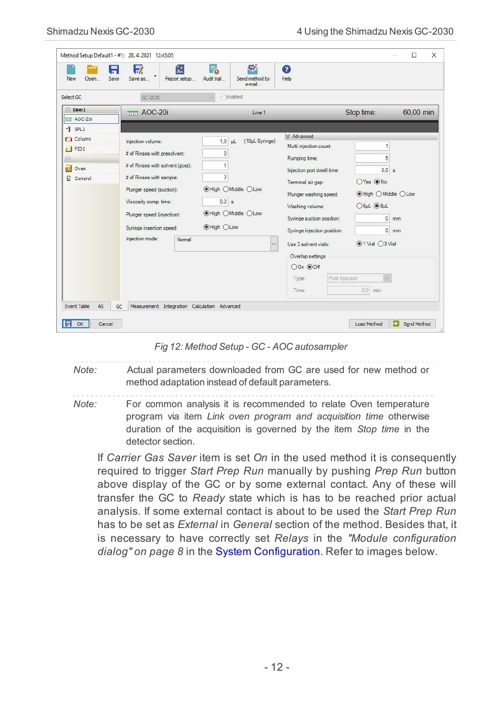| Method Setup Default1 - #1; 28.4.2021 12:45:05                                          |                                                                                                                                                                                                                                  |                                                                                                                                          |                                                                                                                                                                                                                   | $\times$<br>□                                                                                                                     |
|-----------------------------------------------------------------------------------------|----------------------------------------------------------------------------------------------------------------------------------------------------------------------------------------------------------------------------------|------------------------------------------------------------------------------------------------------------------------------------------|-------------------------------------------------------------------------------------------------------------------------------------------------------------------------------------------------------------------|-----------------------------------------------------------------------------------------------------------------------------------|
| 日<br>Save<br>New<br>Open                                                                | 忥<br>鳦<br>Save as<br>Report setup                                                                                                                                                                                                | 尉<br>Р.<br>Audit trail<br>Send method by<br>e-mail                                                                                       | ℯ<br>Help                                                                                                                                                                                                         |                                                                                                                                   |
| Select GC                                                                               | GC-2030                                                                                                                                                                                                                          | $\sqrt{\frac{1}{2}}$ Enabled                                                                                                             |                                                                                                                                                                                                                   |                                                                                                                                   |
| $\Box$ Line1<br>TUT AOC-201                                                             | TITT AOC-20i                                                                                                                                                                                                                     | Line 1                                                                                                                                   |                                                                                                                                                                                                                   | Stop time:<br>60,00 min                                                                                                           |
| $-I$ SPL1                                                                               |                                                                                                                                                                                                                                  |                                                                                                                                          |                                                                                                                                                                                                                   |                                                                                                                                   |
| <b>CD</b> Column<br>$\Box$ FID1<br>$\qquad \qquad \boxdot$<br><b>IQ</b> Oven<br>General | Injection volume:<br># of Rinses with presolvent:<br># of Rinses with solvent (post):<br># of Rinses with sample:<br>Plunger speed (suction):<br>Viscosity comp. time:<br>Plunger speed (injection):<br>Syringe insertion speed: | (10µL Syringe)<br>$1.0$ uL<br>0<br>1<br>$\overline{2}$<br>● High O Middle O Low<br>0.2 s<br><b>I</b> High ○ Middle ○ Low<br>● High ○ Low | X Advanced<br>Multi injection count:<br>Pumping time:<br>Injection port dwell time:<br>Terminal air gap:<br>Plunger washing speed:<br>Washing volume:<br>Syringe suction position:<br>Syringe injection position: | 1<br>5<br>0.0 s<br>○Yes ◉No<br><b>I</b> High OMiddle OLow<br>$\bigcirc$ 6µL $\bigcirc$ 8µL<br>$\bullet$<br>mm<br>$0 \, \text{mm}$ |
| <b>Event Table</b><br>AS<br>GC.                                                         | Injection mode:<br>Normal<br>Measurement Integration Calculation Advanced                                                                                                                                                        |                                                                                                                                          | Use 3 solvent vials:<br>Overlap settings<br>○On ⓒOff<br>Post Injection<br>Type:<br>Time:                                                                                                                          | $①1$ Vial $①3$ Vial<br>$0,0$ min                                                                                                  |
| IA<br>OK<br>Cancel                                                                      |                                                                                                                                                                                                                                  |                                                                                                                                          |                                                                                                                                                                                                                   | Ð<br><b>Load Method</b><br>Send Method                                                                                            |

*Fig 12: Method Setup - GC - AOC autosampler*

*Note:* Actual parameters downloaded from GC are used for new method or method adaptation instead of default parameters.

*Note:* For common analysis it is recommended to relate Oven temperature program via item *Link oven program and acquisition time* otherwise duration of the acquisition is governed by the item *Stop time* in the detector section.

If *Carrier Gas Saver* item is set *On* in the used method it is consequently required to trigger *Start Prep Run* manually by pushing *Prep Run* button above display of the GC or by some external contact. Any of these will transfer the GC to *Ready* state which is has to be reached prior actual analysis. If some external contact is about to be used the *Start Prep Run* has to be set as *External* in *General* section of the method. Besides that, it is necessary to have correctly set *Relays* in the *"Module [configuration](#page-11-0) [dialog"](#page-11-0) on page 8* in the System [Configuration](#page-8-0). Refer to images below.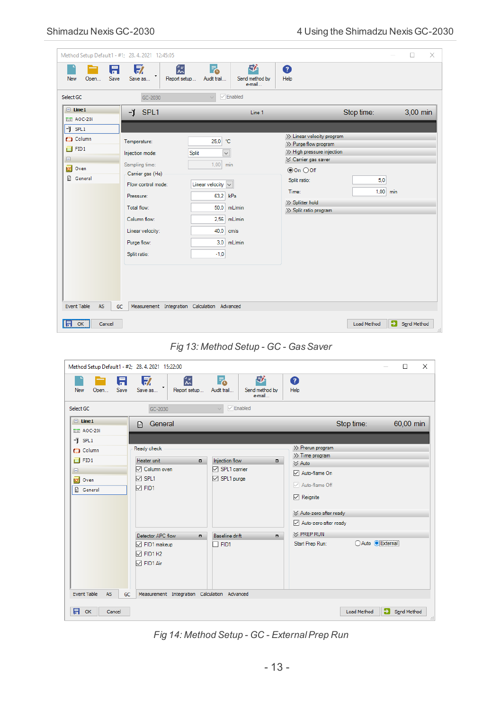| Method Setup Default1 - #1; 28. 4. 2021 12:45:05                                                                       |                                                                                                                                                                                                          |                                                                                                                                                                                                  |                                                                                                                                                                                                       |                                 | п<br>$\times$     |
|------------------------------------------------------------------------------------------------------------------------|----------------------------------------------------------------------------------------------------------------------------------------------------------------------------------------------------------|--------------------------------------------------------------------------------------------------------------------------------------------------------------------------------------------------|-------------------------------------------------------------------------------------------------------------------------------------------------------------------------------------------------------|---------------------------------|-------------------|
| A<br>Save<br>Open<br>New                                                                                               | 似<br>取<br>Save as<br>Report setup                                                                                                                                                                        | 尉<br>F.<br>Audit trail<br>Send method by<br>e-mail                                                                                                                                               | ❼<br>Help                                                                                                                                                                                             |                                 |                   |
| Select GC                                                                                                              | GC-2030                                                                                                                                                                                                  | $\sqrt{\ }$ Enabled                                                                                                                                                                              |                                                                                                                                                                                                       |                                 |                   |
| $\Box$ Line1<br>TUTT AOC-201<br>$-1$ SPL1<br>(C) Column<br>$\Box$ FID1<br>$\boxminus$<br>$ \alpha $<br>Oven<br>General | SPL1<br>-ĭ<br>Temperature:<br>Injection mode:<br>Sampling time:<br>Carrier gas (He)<br>Flow control mode:<br>Pressure:<br>Total flow:<br>Column flow:<br>Linear velocity:<br>Purge flow:<br>Split ratio: | Line 1<br>25,0<br>°C<br>Split<br>$\checkmark$<br>1,00<br>min<br>Linear velocity $\vert \vee \vert$<br>63,2<br>kPa<br>50,0<br>mL/min<br>2,56<br>mL/min<br>40,0<br>cm/s<br>mL/min<br>3,0<br>$-1,0$ | >> Linear velocity program<br>>> Purge flow program<br>>> High pressure injection<br><b>∀ Carrier gas saver</b><br>$@On$ $@Of$<br>Split ratio:<br>Time:<br>>> Splitter hold<br>>> Split ratio program | Stop time:<br>5,0<br>$1,00$ min | 3,00 min          |
| <b>Event Table</b><br>AS<br>$\blacksquare$ ok<br>Cancel                                                                | Measurement Integration Calculation Advanced<br>GC                                                                                                                                                       |                                                                                                                                                                                                  |                                                                                                                                                                                                       | э<br><b>Load Method</b>         | Send Method<br>d. |



| Method Setup Default1 - #2; 28.4.2021 15:22:00                                 |                                                                                                                                         |                                                                                                              |                                                                                                                                                                                                       |                         | $\Box$<br>$\times$      |
|--------------------------------------------------------------------------------|-----------------------------------------------------------------------------------------------------------------------------------------|--------------------------------------------------------------------------------------------------------------|-------------------------------------------------------------------------------------------------------------------------------------------------------------------------------------------------------|-------------------------|-------------------------|
| A.<br>Save<br>Open<br>New                                                      | 忥<br>$\blacksquare$<br>Save as<br>Report setup                                                                                          | 尉<br>F.<br>Audit trail<br>Send method by<br>e-mail                                                           | ❷<br>Help                                                                                                                                                                                             |                         |                         |
| Select GC                                                                      | GC-2030                                                                                                                                 | $\triangledown$ Enabled                                                                                      |                                                                                                                                                                                                       |                         |                         |
| $\Box$ Line1<br><b>TVTT AOC-20i</b><br>$-J$ SPL1                               | General<br>囹                                                                                                                            |                                                                                                              |                                                                                                                                                                                                       | Stop time:              | 60,00 min               |
| <b>CD</b> Column<br>$\Box$ FID1<br>$\boxdot$<br>$ C $ Oven<br><b>图</b> General | Ready check<br>Heater unit<br>$\Box$<br>□ Column oven<br>$\nabla$ SPL1<br>$\nabla$ FID1<br>Detector APC flow<br>$\Box$<br>□ FID1 makeup | <b>Injection flow</b><br>$\Box$<br>□ SPL1 carrier<br>□ SPL1 purge<br>Baseline drift<br>$\Box$<br>$\Box$ FID1 | >> Prerun program<br>>> Time program<br>$\leq$ Auto<br>Auto-flame On<br>Auto-flame Off<br>$\nabla$ Reignite<br>☆ Auto-zero after ready<br>Auto-zero after ready<br>$\vee$ PREP RUN<br>Start Prep Run: | ○Auto ● External        |                         |
| <b>Event Table</b><br>AS<br>GC<br>日<br>OK<br>Cancel                            | $\nabla$ FID1 H2<br>□ FID1 Air<br>Measurement Integration Calculation Advanced                                                          |                                                                                                              |                                                                                                                                                                                                       | э<br><b>Load Method</b> | Send Method<br>$\ldots$ |

*Fig 14: Method Setup - GC - ExternalPrep Run*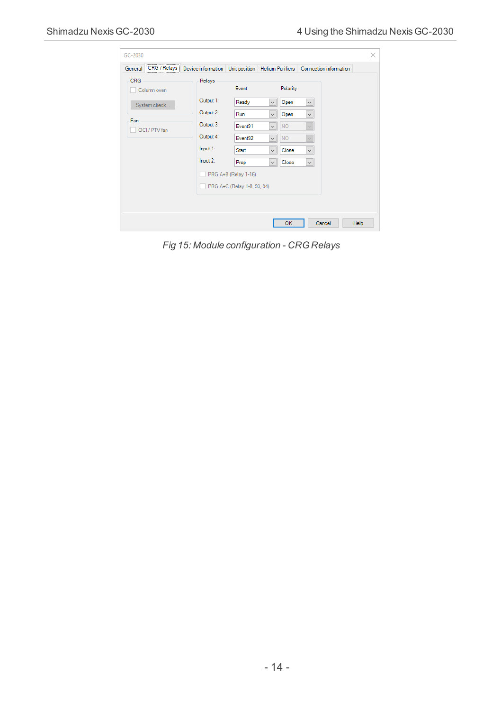| GC-2030                     |                        |                                                                          |                              |                    |                                   | ×    |
|-----------------------------|------------------------|--------------------------------------------------------------------------|------------------------------|--------------------|-----------------------------------|------|
| CRG / Relays<br>General<br> |                        | Device information Unit position Helium Purifiers Connection information |                              |                    |                                   |      |
| <b>CRG</b><br>Column oven   | Relays                 | Event                                                                    |                              | Polarity           |                                   |      |
| System check                | Output 1:<br>Output 2: | Ready<br>Run                                                             | $\checkmark$<br>$\checkmark$ | Open<br>Open       | $\vert \vee \vert$<br>$\check{~}$ |      |
| Fan<br>OCI / PTV fan        | Output 3:              | Event91                                                                  | $\checkmark$                 | <b>NO</b>          | $\checkmark$                      |      |
|                             | Output 4:<br>Input 1:  | Event92<br><b>Start</b>                                                  | $\checkmark$<br>$\checkmark$ | <b>NO</b><br>Close | $\checkmark$<br>$\backsim$        |      |
|                             | Input 2:               | Prep                                                                     | $\check{~}$                  | Close              | $\backsim$                        |      |
|                             |                        | PRG A+B (Relay 1-16)<br>PRG A+C (Relay 1-8, 93, 94)                      |                              |                    |                                   |      |
|                             |                        |                                                                          |                              |                    |                                   |      |
|                             |                        |                                                                          |                              | OK                 | Cancel                            | Help |

*Fig 15: Module configuration - CRG Relays*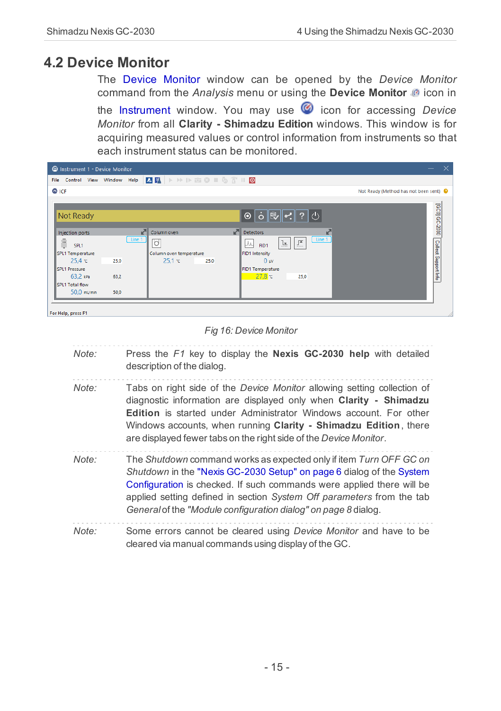## <span id="page-18-0"></span>**4.2 Device Monitor**

The Device [Monitor](ms-its:ClarityShimadzu.chm::/Help/020-instrument/020.020-monitor/020.020-monitor.htm) window can be opened by the *Device Monitor* command from the *Analysis* menu or using the **Device Monitor** @ icon in the [Instrument](ms-its:ClarityShimadzu.chm::/Help/020-instrument/020.000-instrument/020-instrument.htm) window. You may use **in** icon for accessing *Device Monitor* from all **Clarity - Shimadzu Edition** windows. This window is for acquiring measured values or control information from instruments so that each instrument status can be monitored.

| C Instrument 1 - Device Monitor  |        |                         |                                                               | - X                                    |
|----------------------------------|--------|-------------------------|---------------------------------------------------------------|----------------------------------------|
| Control View Window Help<br>File |        | <b>AFRADEOIGTIO</b>     |                                                               |                                        |
| C ICF                            |        |                         |                                                               | Not Ready (Method has not been sent) © |
| Not Ready                        |        |                         | ◉  ò   ِ§  ဟ़!  ?   ()                                        | [GC0] GC-2030 Collect Support Info     |
| Injection ports                  |        | ᅐ<br>Column oven        | ∩<br><b>Detectors</b><br>ĸ                                    |                                        |
| ÷.<br>SPL1                       | Line 1 | o                       | Line 1<br>$\Gamma$<br>$\mathbf{\underline{L}}$<br>JΑ.<br>FID1 |                                        |
| SPL1 Temperature                 |        | Column oven temperature | FID1 Intensity                                                |                                        |
| 25.4 c                           | 25.0   | 25.1 c<br>25.0          | 0 <sub>w</sub>                                                |                                        |
| SPL1 Pressure                    |        |                         | FID1 Temperature                                              |                                        |
| $63,2$ kPa                       | 63,2   |                         | 27.8c<br>25.0                                                 |                                        |
| SPL1 Total flow                  |        |                         |                                                               |                                        |
| $50,0$ mL/min                    | 50.0   |                         |                                                               |                                        |
|                                  |        |                         |                                                               |                                        |
| For Help, press F1               |        |                         |                                                               |                                        |

#### *Fig 16: Device Monitor*

| Note: | Press the $F1$ key to display the <b>Nexis GC-2030 help</b> with detailed<br>description of the dialog.                                                                                                                                                                                                                                                           |
|-------|-------------------------------------------------------------------------------------------------------------------------------------------------------------------------------------------------------------------------------------------------------------------------------------------------------------------------------------------------------------------|
| Note: | Tabs on right side of the Device Monitor allowing setting collection of<br>diagnostic information are displayed only when Clarity - Shimadzu<br><b>Edition</b> is started under Administrator Windows account. For other<br>Windows accounts, when running Clarity - Shimadzu Edition, there<br>are displayed fewer tabs on the right side of the Device Monitor. |
| Note: | The Shutdown command works as expected only if item Turn OFF GC on<br>Shutdown in the "Nexis GC-2030 Setup" on page 6 dialog of the System<br>Configuration is checked. If such commands were applied there will be<br>applied setting defined in section System Off parameters from the tab<br>General of the "Module configuration dialog" on page 8 dialog.    |
| Note: | Some errors cannot be cleared using Device Monitor and have to be<br>cleared via manual commands using display of the GC.                                                                                                                                                                                                                                         |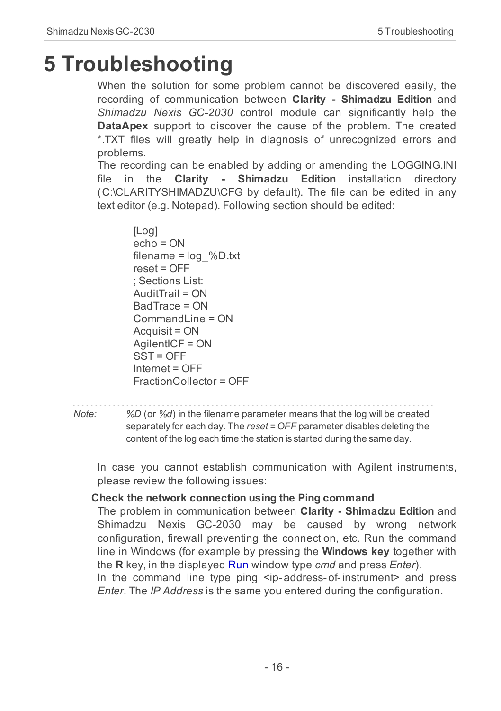# <span id="page-19-0"></span>**5 Troubleshooting**

When the solution for some problem cannot be discovered easily, the recording of communication between **Clarity - Shimadzu Edition** and *Shimadzu Nexis GC-2030* control module can significantly help the **DataApex** support to discover the cause of the problem. The created \*.TXT files will greatly help in diagnosis of unrecognized errors and problems.

The recording can be enabled by adding or amending the LOGGING.INI file in the **Clarity - Shimadzu Edition** installation directory (C:\CLARITYSHIMADZU\CFG by default). The file can be edited in any text editor (e.g. Notepad). Following section should be edited:

[Log] echo = ON filename = log\_%D.txt reset = OFF ; Sections List: AuditTrail = ON BadTrace = ON CommandLine = ON Acquisit = ON AgilentICF = ON SST = OFF Internet = OFF FractionCollector = OFF

```
Note: %D (or %d) in the filename parameter means that the log will be created
```
separately for each day. The *reset = OFF* parameter disables deleting the content of the log each time the station is started during the same day.

In case you cannot establish communication with Agilent instruments, please review the following issues:

#### **Check the network connection using the Ping command**

The problem in communication between **Clarity - Shimadzu Edition** and Shimadzu Nexis GC-2030 may be caused by wrong network configuration, firewall preventing the connection, etc. Run the command line in Windows (for example by pressing the **Windows key** together with the **R** key, in the displayed Run window type *cmd* and press *Enter*). In the command line type ping <ip-address-of-instrument> and press *Enter*. The *IP Address* is the same you entered during the configuration.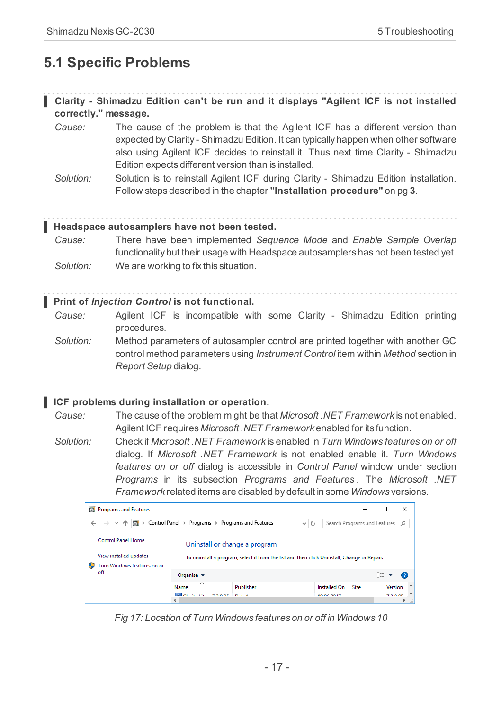# <span id="page-20-0"></span>**5.1 Specific Problems**

| Clarity - Shimadzu Edition can't be run and it displays "Agilent ICF is not installed |  |  |  |  |  |
|---------------------------------------------------------------------------------------|--|--|--|--|--|
| correctly." message.                                                                  |  |  |  |  |  |

- *Cause:* The cause of the problem is that the Agilent ICF has a different version than expected by Clarity - Shimadzu Edition. It can typically happen when other software also using Agilent ICF decides to reinstall it. Thus next time Clarity - Shimadzu Edition expects different version than is installed.
- *Solution:* Solution is to reinstall Agilent ICF during Clarity Shimadzu Edition installation. Follow steps described in the chapter **["Installation](#page-6-0) procedure"** on pg **3**.

#### **▌ Headspace autosamplers have not been tested.**

*Cause:* There have been implemented *Sequence Mode* and *Enable Sample Overlap* functionality but their usage with Headspace autosamplers has not been tested yet. *Solution:* We are working to fix this situation.

#### **▌ Print of** *Injection Control* **is not functional.**

*Cause:* Agilent ICF is incompatible with some Clarity - Shimadzu Edition printing procedures.

*Solution:* Method parameters of autosampler control are printed together with another GC control method parameters using *Instrument Control* item within *Method* section in *Report Setup* dialog.

#### **▌ ICF problems during installation or operation.**

*Cause:* The cause of the problem might be that *Microsoft .NET Framework* is not enabled. Agilent ICF requires *Microsoft .NET Framework* enabled for its function.

*Solution:* Check if *Microsoft .NET Framework* is enabled in *Turn Windows features on or off* dialog. If *Microsoft .NET Framework* is not enabled enable it. *Turn Windows features on or off* dialog is accessible in *Control Panel* window under section *Programs* in its subsection *Programs and Features* . The *Microsoft .NET Framework* related items are disabled by default in some *Windows* versions.



*Fig 17: Location of Turn Windows features on or off in Windows 10*